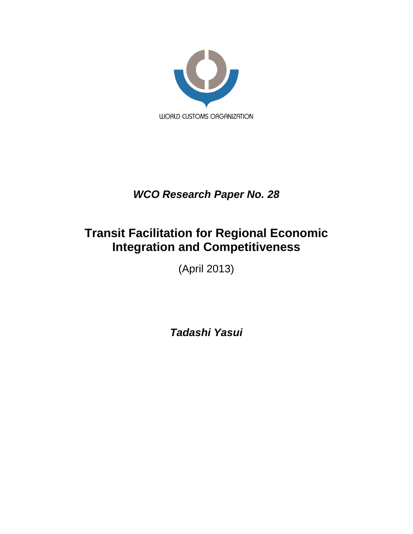

# *WCO Research Paper No. 28*

# **Transit Facilitation for Regional Economic Integration and Competitiveness**

(April 2013)

*Tadashi Yasui*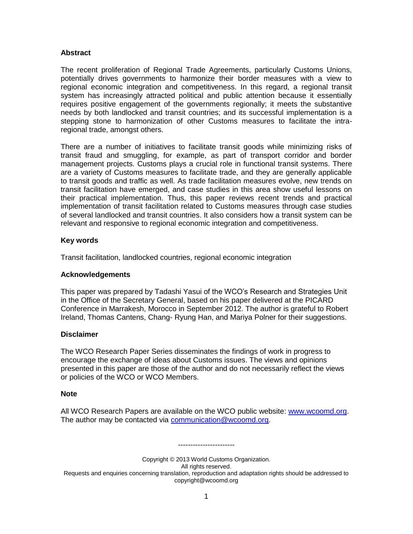# **Abstract**

The recent proliferation of Regional Trade Agreements, particularly Customs Unions, potentially drives governments to harmonize their border measures with a view to regional economic integration and competitiveness. In this regard, a regional transit system has increasingly attracted political and public attention because it essentially requires positive engagement of the governments regionally; it meets the substantive needs by both landlocked and transit countries; and its successful implementation is a stepping stone to harmonization of other Customs measures to facilitate the intraregional trade, amongst others.

There are a number of initiatives to facilitate transit goods while minimizing risks of transit fraud and smuggling, for example, as part of transport corridor and border management projects. Customs plays a crucial role in functional transit systems. There are a variety of Customs measures to facilitate trade, and they are generally applicable to transit goods and traffic as well. As trade facilitation measures evolve, new trends on transit facilitation have emerged, and case studies in this area show useful lessons on their practical implementation. Thus, this paper reviews recent trends and practical implementation of transit facilitation related to Customs measures through case studies of several landlocked and transit countries. It also considers how a transit system can be relevant and responsive to regional economic integration and competitiveness.

# **Key words**

Transit facilitation, landlocked countries, regional economic integration

# **Acknowledgements**

This paper was prepared by Tadashi Yasui of the WCO's Research and Strategies Unit in the Office of the Secretary General, based on his paper delivered at the PICARD Conference in Marrakesh, Morocco in September 2012. The author is grateful to Robert Ireland, Thomas Cantens, Chang- Ryung Han, and Mariya Polner for their suggestions.

# **Disclaimer**

The WCO Research Paper Series disseminates the findings of work in progress to encourage the exchange of ideas about Customs issues. The views and opinions presented in this paper are those of the author and do not necessarily reflect the views or policies of the WCO or WCO Members.

## **Note**

All WCO Research Papers are available on the WCO public website: [www.wcoomd.org.](http://www.wcoomd.org/) The author may be contacted via [communication@wcoomd.org.](mailto:communication@wcoomd.org)

Copyright © 2013 World Customs Organization. All rights reserved. Requests and enquiries concerning translation, reproduction and adaptation rights should be addressed to copyright@wcoomd.org

-----------------------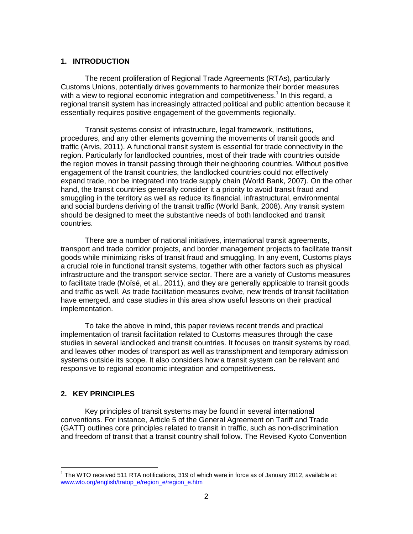#### **1. INTRODUCTION**

The recent proliferation of Regional Trade Agreements (RTAs), particularly Customs Unions, potentially drives governments to harmonize their border measures with a view to regional economic integration and competitiveness.<sup>1</sup> In this regard, a regional transit system has increasingly attracted political and public attention because it essentially requires positive engagement of the governments regionally.

Transit systems consist of infrastructure, legal framework, institutions, procedures, and any other elements governing the movements of transit goods and traffic (Arvis, 2011). A functional transit system is essential for trade connectivity in the region. Particularly for landlocked countries, most of their trade with countries outside the region moves in transit passing through their neighboring countries. Without positive engagement of the transit countries, the landlocked countries could not effectively expand trade, nor be integrated into trade supply chain (World Bank, 2007). On the other hand, the transit countries generally consider it a priority to avoid transit fraud and smuggling in the territory as well as reduce its financial, infrastructural, environmental and social burdens deriving of the transit traffic (World Bank, 2008). Any transit system should be designed to meet the substantive needs of both landlocked and transit countries.

There are a number of national initiatives, international transit agreements, transport and trade corridor projects, and border management projects to facilitate transit goods while minimizing risks of transit fraud and smuggling. In any event, Customs plays a crucial role in functional transit systems, together with other factors such as physical infrastructure and the transport service sector. There are a variety of Customs measures to facilitate trade (Moïsé, et al., 2011), and they are generally applicable to transit goods and traffic as well. As trade facilitation measures evolve, new trends of transit facilitation have emerged, and case studies in this area show useful lessons on their practical implementation.

To take the above in mind, this paper reviews recent trends and practical implementation of transit facilitation related to Customs measures through the case studies in several landlocked and transit countries. It focuses on transit systems by road, and leaves other modes of transport as well as transshipment and temporary admission systems outside its scope. It also considers how a transit system can be relevant and responsive to regional economic integration and competitiveness.

## **2. KEY PRINCIPLES**

 $\overline{a}$ 

Key principles of transit systems may be found in several international conventions. For instance, Article 5 of the General Agreement on Tariff and Trade (GATT) outlines core principles related to transit in traffic, such as non-discrimination and freedom of transit that a transit country shall follow. The Revised Kyoto Convention

 $1$  The WTO received 511 RTA notifications, 319 of which were in force as of January 2012, available at: [www.wto.org/english/tratop\\_e/region\\_e/region\\_e.htm](http://www.wto.org/english/tratop_e/region_e/region_e.htm)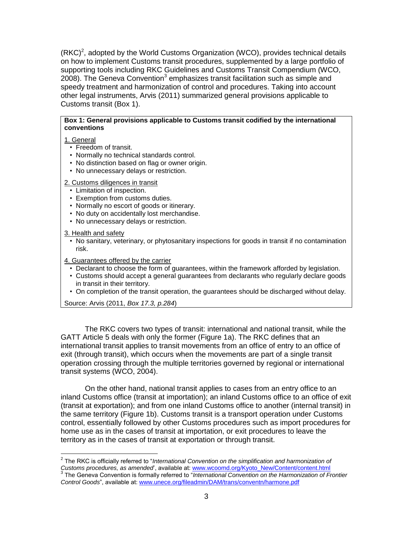$(RKC)<sup>2</sup>$ , adopted by the World Customs Organization (WCO), provides technical details on how to implement Customs transit procedures, supplemented by a large portfolio of supporting tools including RKC Guidelines and Customs Transit Compendium (WCO, 2008). The Geneva Convention<sup>3</sup> emphasizes transit facilitation such as simple and speedy treatment and harmonization of control and procedures. Taking into account other legal instruments, Arvis (2011) summarized general provisions applicable to Customs transit (Box 1).

## **Box 1: General provisions applicable to Customs transit codified by the international conventions**

# 1. General

- Freedom of transit.
- Normally no technical standards control.
- No distinction based on flag or owner origin.
- No unnecessary delays or restriction.

2. Customs diligences in transit

- Limitation of inspection.
- Exemption from customs duties.
- Normally no escort of goods or itinerary.
- No duty on accidentally lost merchandise.
- No unnecessary delays or restriction.

3. Health and safety

- No sanitary, veterinary, or phytosanitary inspections for goods in transit if no contamination risk.
- 4. Guarantees offered by the carrier
	- Declarant to choose the form of guarantees, within the framework afforded by legislation.
	- Customs should accept a general guarantees from declarants who regularly declare goods in transit in their territory.
	- On completion of the transit operation, the guarantees should be discharged without delay.

Source: Arvis (2011, *Box 17.3, p.284*)

The RKC covers two types of transit: international and national transit, while the GATT Article 5 deals with only the former (Figure 1a). The RKC defines that an international transit applies to transit movements from an office of entry to an office of exit (through transit), which occurs when the movements are part of a single transit operation crossing through the multiple territories governed by regional or international transit systems (WCO, 2004).

On the other hand, national transit applies to cases from an entry office to an inland Customs office (transit at importation); an inland Customs office to an office of exit (transit at exportation); and from one inland Customs office to another (internal transit) in the same territory (Figure 1b). Customs transit is a transport operation under Customs control, essentially followed by other Customs procedures such as import procedures for home use as in the cases of transit at importation, or exit procedures to leave the territory as in the cases of transit at exportation or through transit.

 2 The RKC is officially referred to "*International Convention on the simplification and harmonization of Customs procedures, as amended*', available at: [www.wcoomd.org/Kyoto\\_New/Content/content.html](http://www.wcoomd.org/Kyoto_New/Content/content.html)<br><sup>3</sup> The Coneye Convention is fermelly referred to "International Convention on the Hermonization of E The Geneva Convention is formally referred to "*International Convention on the Harmonization of Frontier Control Goods*", available at[: www.unece.org/fileadmin/DAM/trans/conventn/harmone.pdf](http://www.unece.org/fileadmin/DAM/trans/conventn/harmone.pdf)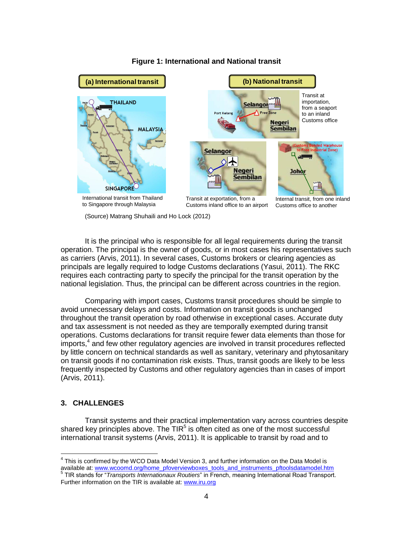

#### **Figure 1: International and National transit**

(Source) Matrang Shuhaili and Ho Lock (2012)

It is the principal who is responsible for all legal requirements during the transit operation. The principal is the owner of goods, or in most cases his representatives such as carriers (Arvis, 2011). In several cases, Customs brokers or clearing agencies as principals are legally required to lodge Customs declarations (Yasui, 2011). The RKC requires each contracting party to specify the principal for the transit operation by the national legislation. Thus, the principal can be different across countries in the region.

Comparing with import cases, Customs transit procedures should be simple to avoid unnecessary delays and costs. Information on transit goods is unchanged throughout the transit operation by road otherwise in exceptional cases. Accurate duty and tax assessment is not needed as they are temporally exempted during transit operations. Customs declarations for transit require fewer data elements than those for imports, 4 and few other regulatory agencies are involved in transit procedures reflected by little concern on technical standards as well as sanitary, veterinary and phytosanitary on transit goods if no contamination risk exists. Thus, transit goods are likely to be less frequently inspected by Customs and other regulatory agencies than in cases of import (Arvis, 2011).

## **3. CHALLENGES**

Transit systems and their practical implementation vary across countries despite shared key principles above. The TIR<sup>5</sup> is often cited as one of the most successful international transit systems (Arvis, 2011). It is applicable to transit by road and to

 4 This is confirmed by the WCO Data Model Version 3, and further information on the Data Model is available at[: www.wcoomd.org/home\\_pfoverviewboxes\\_tools\\_and\\_instruments\\_pftoolsdatamodel.htm](http://www.wcoomd.org/home_pfoverviewboxes_tools_and_instruments_pftoolsdatamodel.htm) 5 TIR stands for "*Transports Internationaux Routiers*" in French, meaning International Road Transport.

Further information on the TIR is available at[: www.iru.org](http://www.iru.org/)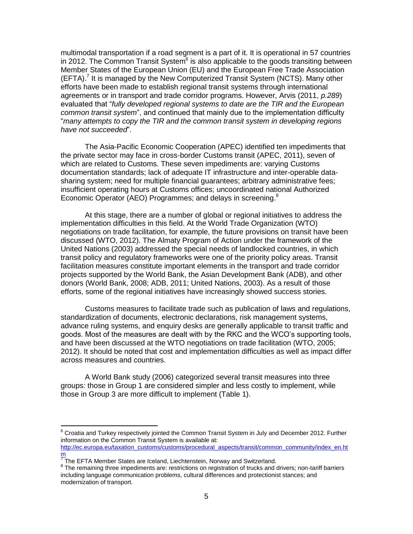multimodal transportation if a road segment is a part of it. It is operational in 57 countries in 2012. The Common Transit System $^6$  is also applicable to the goods transiting between Member States of the European Union (EU) and the European Free Trade Association (EFTA).<sup>7</sup> It is managed by the New Computerized Transit System (NCTS). Many other efforts have been made to establish regional transit systems through international agreements or in transport and trade corridor programs. However, Arvis (2011, *p.289*) evaluated that "*fully developed regional systems to date are the TIR and the European common transit system*", and continued that mainly due to the implementation difficulty "*many attempts to copy the TIR and the common transit system in developing regions have not succeeded*".

The Asia-Pacific Economic Cooperation (APEC) identified ten impediments that the private sector may face in cross-border Customs transit (APEC, 2011), seven of which are related to Customs. These seven impediments are: varying Customs documentation standards; lack of adequate IT infrastructure and inter-operable datasharing system; need for multiple financial guarantees; arbitrary administrative fees; insufficient operating hours at Customs offices; uncoordinated national Authorized Economic Operator (AEO) Programmes; and delays in screening.<sup>8</sup>

At this stage, there are a number of global or regional initiatives to address the implementation difficulties in this field. At the World Trade Organization (WTO) negotiations on trade facilitation, for example, the future provisions on transit have been discussed (WTO, 2012). The Almaty Program of Action under the framework of the United Nations (2003) addressed the special needs of landlocked countries, in which transit policy and regulatory frameworks were one of the priority policy areas. Transit facilitation measures constitute important elements in the transport and trade corridor projects supported by the World Bank, the Asian Development Bank (ADB), and other donors (World Bank, 2008; ADB, 2011; United Nations, 2003). As a result of those efforts, some of the regional initiatives have increasingly showed success stories.

Customs measures to facilitate trade such as publication of laws and regulations, standardization of documents, electronic declarations, risk management systems, advance ruling systems, and enquiry desks are generally applicable to transit traffic and goods. Most of the measures are dealt with by the RKC and the WCO's supporting tools, and have been discussed at the WTO negotiations on trade facilitation (WTO, 2005; 2012). It should be noted that cost and implementation difficulties as well as impact differ across measures and countries.

A World Bank study (2006) categorized several transit measures into three groups: those in Group 1 are considered simpler and less costly to implement, while those in Group 3 are more difficult to implement (Table 1).

 $6$  Croatia and Turkey respectively jointed the Common Transit System in July and December 2012. Further information on the Common Transit System is available at:

[http://ec.europa.eu/taxation\\_customs/customs/procedural\\_aspects/transit/common\\_community/index\\_en.ht](http://ec.europa.eu/taxation_customs/customs/procedural_aspects/transit/common_community/index_en.htm) <[m](http://ec.europa.eu/taxation_customs/customs/procedural_aspects/transit/common_community/index_en.htm)ark>m</mark><br><sup>7</sup> The EFTA Member States are Iceland, Liechtenstein, Norway and Switzerland.

<sup>&</sup>lt;sup>8</sup> The remaining three impediments are: restrictions on registration of trucks and drivers; non-tariff barriers including language communication problems, cultural differences and protectionist stances; and modernization of transport.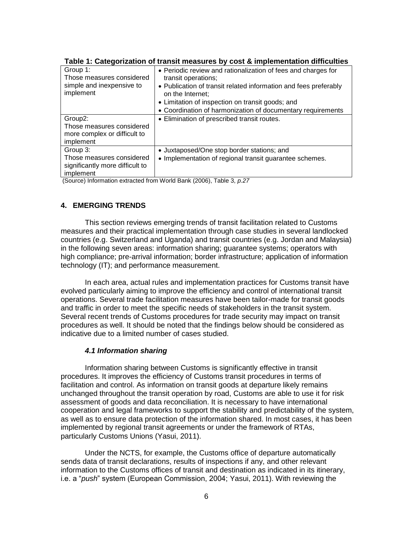|                                                                                                | <b>1990 - 11 Outogorization or transit modern co by ooot &amp; impromemental announce</b>                                                                                                                                                                                                       |
|------------------------------------------------------------------------------------------------|-------------------------------------------------------------------------------------------------------------------------------------------------------------------------------------------------------------------------------------------------------------------------------------------------|
| Group 1:<br>Those measures considered<br>simple and inexpensive to<br>implement                | • Periodic review and rationalization of fees and charges for<br>transit operations;<br>• Publication of transit related information and fees preferably<br>on the Internet;<br>• Limitation of inspection on transit goods; and<br>• Coordination of harmonization of documentary requirements |
| Group <sub>2</sub> :<br>Those measures considered<br>more complex or difficult to<br>implement | • Elimination of prescribed transit routes.                                                                                                                                                                                                                                                     |
| Group 3:<br>Those measures considered<br>significantly more difficult to<br>implement          | • Juxtaposed/One stop border stations; and<br>• Implementation of regional transit guarantee schemes.                                                                                                                                                                                           |

| Table 1: Categorization of transit measures by cost & implementation difficulties |  |  |  |
|-----------------------------------------------------------------------------------|--|--|--|
|-----------------------------------------------------------------------------------|--|--|--|

(Source) Information extracted from World Bank (2006), Table 3, *p.27*

# **4. EMERGING TRENDS**

This section reviews emerging trends of transit facilitation related to Customs measures and their practical implementation through case studies in several landlocked countries (e.g. Switzerland and Uganda) and transit countries (e.g. Jordan and Malaysia) in the following seven areas: information sharing; guarantee systems; operators with high compliance; pre-arrival information; border infrastructure; application of information technology (IT); and performance measurement.

In each area, actual rules and implementation practices for Customs transit have evolved particularly aiming to improve the efficiency and control of international transit operations. Several trade facilitation measures have been tailor-made for transit goods and traffic in order to meet the specific needs of stakeholders in the transit system. Several recent trends of Customs procedures for trade security may impact on transit procedures as well. It should be noted that the findings below should be considered as indicative due to a limited number of cases studied.

## *4.1 Information sharing*

Information sharing between Customs is significantly effective in transit procedures. It improves the efficiency of Customs transit procedures in terms of facilitation and control. As information on transit goods at departure likely remains unchanged throughout the transit operation by road, Customs are able to use it for risk assessment of goods and data reconciliation. It is necessary to have international cooperation and legal frameworks to support the stability and predictability of the system, as well as to ensure data protection of the information shared. In most cases, it has been implemented by regional transit agreements or under the framework of RTAs, particularly Customs Unions (Yasui, 2011).

Under the NCTS, for example, the Customs office of departure automatically sends data of transit declarations, results of inspections if any, and other relevant information to the Customs offices of transit and destination as indicated in its itinerary, i.e. a "*push*" system (European Commission, 2004; Yasui, 2011). With reviewing the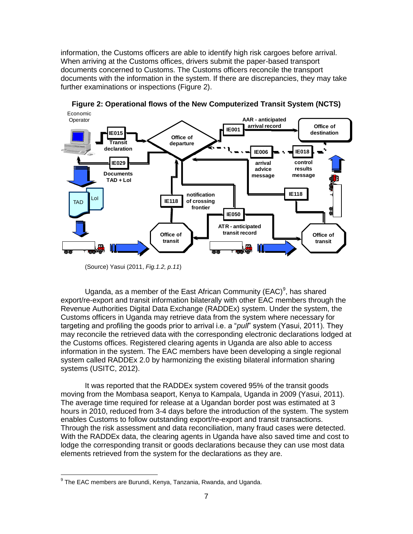information, the Customs officers are able to identify high risk cargoes before arrival. When arriving at the Customs offices, drivers submit the paper-based transport documents concerned to Customs. The Customs officers reconcile the transport documents with the information in the system. If there are discrepancies, they may take further examinations or inspections (Figure 2).



**Figure 2: Operational flows of the New Computerized Transit System (NCTS)**

(Source) Yasui (2011, *Fig.1.2, p.11*)

Uganda, as a member of the East African Community (EAC)<sup>9</sup>, has shared export/re-export and transit information bilaterally with other EAC members through the Revenue Authorities Digital Data Exchange (RADDEx) system. Under the system, the Customs officers in Uganda may retrieve data from the system where necessary for targeting and profiling the goods prior to arrival i.e. a "*pull*" system (Yasui, 2011). They may reconcile the retrieved data with the corresponding electronic declarations lodged at the Customs offices. Registered clearing agents in Uganda are also able to access information in the system. The EAC members have been developing a single regional system called RADDEx 2.0 by harmonizing the existing bilateral information sharing systems (USITC, 2012).

It was reported that the RADDEx system covered 95% of the transit goods moving from the Mombasa seaport, Kenya to Kampala, Uganda in 2009 (Yasui, 2011). The average time required for release at a Ugandan border post was estimated at 3 hours in 2010, reduced from 3-4 days before the introduction of the system. The system enables Customs to follow outstanding export/re-export and transit transactions. Through the risk assessment and data reconciliation, many fraud cases were detected. With the RADDEx data, the clearing agents in Uganda have also saved time and cost to lodge the corresponding transit or goods declarations because they can use most data elements retrieved from the system for the declarations as they are.

<sup>&</sup>lt;sup>9</sup> The EAC members are Burundi, Kenya, Tanzania, Rwanda, and Uganda.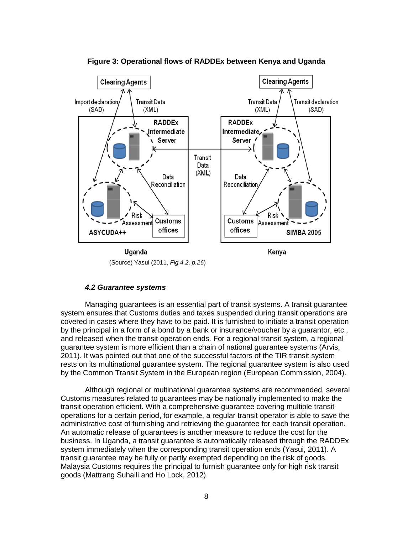

**Figure 3: Operational flows of RADDEx between Kenya and Uganda**

(Source) Yasui (2011, *Fig.4.2, p.26*)

#### *4.2 Guarantee systems*

Managing guarantees is an essential part of transit systems. A transit guarantee system ensures that Customs duties and taxes suspended during transit operations are covered in cases where they have to be paid. It is furnished to initiate a transit operation by the principal in a form of a bond by a bank or insurance/voucher by a guarantor, etc., and released when the transit operation ends. For a regional transit system, a regional guarantee system is more efficient than a chain of national guarantee systems (Arvis, 2011). It was pointed out that one of the successful factors of the TIR transit system rests on its multinational guarantee system. The regional guarantee system is also used by the Common Transit System in the European region (European Commission, 2004).

Although regional or multinational guarantee systems are recommended, several Customs measures related to guarantees may be nationally implemented to make the transit operation efficient. With a comprehensive guarantee covering multiple transit operations for a certain period, for example, a regular transit operator is able to save the administrative cost of furnishing and retrieving the guarantee for each transit operation. An automatic release of guarantees is another measure to reduce the cost for the business. In Uganda, a transit guarantee is automatically released through the RADDEx system immediately when the corresponding transit operation ends (Yasui, 2011). A transit guarantee may be fully or partly exempted depending on the risk of goods. Malaysia Customs requires the principal to furnish guarantee only for high risk transit goods (Mattrang Suhaili and Ho Lock, 2012).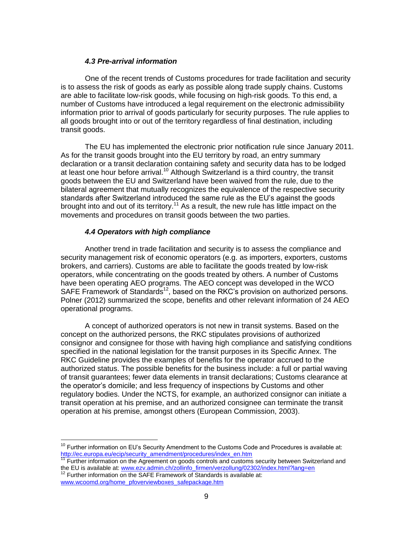## *4.3 Pre-arrival information*

One of the recent trends of Customs procedures for trade facilitation and security is to assess the risk of goods as early as possible along trade supply chains. Customs are able to facilitate low-risk goods, while focusing on high-risk goods. To this end, a number of Customs have introduced a legal requirement on the electronic admissibility information prior to arrival of goods particularly for security purposes. The rule applies to all goods brought into or out of the territory regardless of final destination, including transit goods.

The EU has implemented the electronic prior notification rule since January 2011. As for the transit goods brought into the EU territory by road, an entry summary declaration or a transit declaration containing safety and security data has to be lodged at least one hour before arrival.<sup>10</sup> Although Switzerland is a third country, the transit goods between the EU and Switzerland have been waived from the rule, due to the bilateral agreement that mutually recognizes the equivalence of the respective security standards after Switzerland introduced the same rule as the EU's against the goods brought into and out of its territory.<sup>11</sup> As a result, the new rule has little impact on the movements and procedures on transit goods between the two parties.

## *4.4 Operators with high compliance*

Another trend in trade facilitation and security is to assess the compliance and security management risk of economic operators (e.g. as importers, exporters, customs brokers, and carriers). Customs are able to facilitate the goods treated by low-risk operators, while concentrating on the goods treated by others. A number of Customs have been operating AEO programs. The AEO concept was developed in the WCO SAFE Framework of Standards<sup>12</sup>, based on the RKC's provision on authorized persons. Polner (2012) summarized the scope, benefits and other relevant information of 24 AEO operational programs.

A concept of authorized operators is not new in transit systems. Based on the concept on the authorized persons, the RKC stipulates provisions of authorized consignor and consignee for those with having high compliance and satisfying conditions specified in the national legislation for the transit purposes in its Specific Annex. The RKC Guideline provides the examples of benefits for the operator accrued to the authorized status. The possible benefits for the business include: a full or partial waving of transit guarantees; fewer data elements in transit declarations; Customs clearance at the operator's domicile; and less frequency of inspections by Customs and other regulatory bodies. Under the NCTS, for example, an authorized consignor can initiate a transit operation at his premise, and an authorized consignee can terminate the transit operation at his premise, amongst others (European Commission, 2003).

 $10$  Further information on EU's Security Amendment to the Customs Code and Procedures is available at: [http://ec.europa.eu/ecip/security\\_amendment/procedures/index\\_en.htm](http://ec.europa.eu/ecip/security_amendment/procedures/index_en.htm)

<sup>&</sup>lt;sup>11</sup> Further information on the Agreement on goods controls and customs security between Switzerland and the EU is available at[: www.ezv.admin.ch/zollinfo\\_firmen/verzollung/02302/index.html?lang=en](http://www.ezv.admin.ch/zollinfo_firmen/verzollung/02302/index.html?lang=en)  $12$  Further information on the SAFE Framework of Standards is available at:

[www.wcoomd.org/home\\_pfoverviewboxes\\_safepackage.htm](http://www.wcoomd.org/home_pfoverviewboxes_safepackage.htm)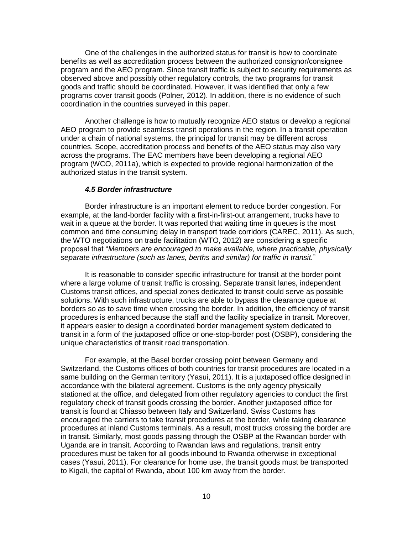One of the challenges in the authorized status for transit is how to coordinate benefits as well as accreditation process between the authorized consignor/consignee program and the AEO program. Since transit traffic is subject to security requirements as observed above and possibly other regulatory controls, the two programs for transit goods and traffic should be coordinated. However, it was identified that only a few programs cover transit goods (Polner, 2012). In addition, there is no evidence of such coordination in the countries surveyed in this paper.

Another challenge is how to mutually recognize AEO status or develop a regional AEO program to provide seamless transit operations in the region. In a transit operation under a chain of national systems, the principal for transit may be different across countries. Scope, accreditation process and benefits of the AEO status may also vary across the programs. The EAC members have been developing a regional AEO program (WCO, 2011a), which is expected to provide regional harmonization of the authorized status in the transit system.

#### *4.5 Border infrastructure*

Border infrastructure is an important element to reduce border congestion. For example, at the land-border facility with a first-in-first-out arrangement, trucks have to wait in a queue at the border. It was reported that waiting time in queues is the most common and time consuming delay in transport trade corridors (CAREC, 2011). As such, the WTO negotiations on trade facilitation (WTO, 2012) are considering a specific proposal that "*Members are encouraged to make available, where practicable, physically separate infrastructure (such as lanes, berths and similar) for traffic in transit.*"

It is reasonable to consider specific infrastructure for transit at the border point where a large volume of transit traffic is crossing. Separate transit lanes, independent Customs transit offices, and special zones dedicated to transit could serve as possible solutions. With such infrastructure, trucks are able to bypass the clearance queue at borders so as to save time when crossing the border. In addition, the efficiency of transit procedures is enhanced because the staff and the facility specialize in transit. Moreover, it appears easier to design a coordinated border management system dedicated to transit in a form of the juxtaposed office or one-stop-border post (OSBP), considering the unique characteristics of transit road transportation.

For example, at the Basel border crossing point between Germany and Switzerland, the Customs offices of both countries for transit procedures are located in a same building on the German territory (Yasui, 2011). It is a juxtaposed office designed in accordance with the bilateral agreement. Customs is the only agency physically stationed at the office, and delegated from other regulatory agencies to conduct the first regulatory check of transit goods crossing the border. Another juxtaposed office for transit is found at Chiasso between Italy and Switzerland. Swiss Customs has encouraged the carriers to take transit procedures at the border, while taking clearance procedures at inland Customs terminals. As a result, most trucks crossing the border are in transit. Similarly, most goods passing through the OSBP at the Rwandan border with Uganda are in transit. According to Rwandan laws and regulations, transit entry procedures must be taken for all goods inbound to Rwanda otherwise in exceptional cases (Yasui, 2011). For clearance for home use, the transit goods must be transported to Kigali, the capital of Rwanda, about 100 km away from the border.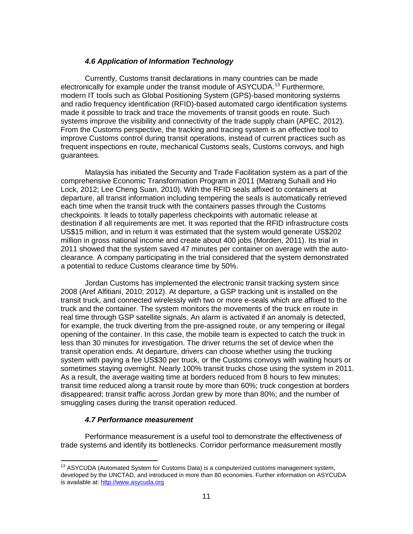## *4.6 Application of Information Technology*

Currently, Customs transit declarations in many countries can be made electronically for example under the transit module of ASYCUDA.<sup>13</sup> Furthermore, modern IT tools such as Global Positioning System (GPS)-based monitoring systems and radio frequency identification (RFID)-based automated cargo identification systems made it possible to track and trace the movements of transit goods en route. Such systems improve the visibility and connectivity of the trade supply chain (APEC, 2012). From the Customs perspective, the tracking and tracing system is an effective tool to improve Customs control during transit operations, instead of current practices such as frequent inspections en route, mechanical Customs seals, Customs convoys, and high guarantees.

Malaysia has initiated the Security and Trade Facilitation system as a part of the comprehensive Economic Transformation Program in 2011 (Matrang Suhaili and Ho Lock, 2012; Lee Cheng Suan, 2010). With the RFID seals affixed to containers at departure, all transit information including tempering the seals is automatically retrieved each time when the transit truck with the containers passes through the Customs checkpoints. It leads to totally paperless checkpoints with automatic release at destination if all requirements are met. It was reported that the RFID infrastructure costs US\$15 million, and in return it was estimated that the system would generate US\$202 million in gross national income and create about 400 jobs (Morden, 2011). Its trial in 2011 showed that the system saved 47 minutes per container on average with the autoclearance. A company participating in the trial considered that the system demonstrated a potential to reduce Customs clearance time by 50%.

Jordan Customs has implemented the electronic transit tracking system since 2008 (Aref Alfitiani, 2010; 2012). At departure, a GSP tracking unit is installed on the transit truck, and connected wirelessly with two or more e-seals which are affixed to the truck and the container. The system monitors the movements of the truck en route in real time through GSP satellite signals. An alarm is activated if an anomaly is detected, for example, the truck diverting from the pre-assigned route, or any tempering or illegal opening of the container. In this case, the mobile team is expected to catch the truck in less than 30 minutes for investigation. The driver returns the set of device when the transit operation ends. At departure, drivers can choose whether using the trucking system with paying a fee US\$30 per truck, or the Customs convoys with waiting hours or sometimes staying overnight. Nearly 100% transit trucks chose using the system in 2011. As a result, the average waiting time at borders reduced from 8 hours to few minutes; transit time reduced along a transit route by more than 60%; truck congestion at borders disappeared; transit traffic across Jordan grew by more than 80%; and the number of smuggling cases during the transit operation reduced.

## *4.7 Performance measurement*

 $\overline{a}$ 

Performance measurement is a useful tool to demonstrate the effectiveness of trade systems and identify its bottlenecks. Corridor performance measurement mostly

 $13$  ASYCUDA (Automated System for Customs Data) is a computerized customs management system, developed by the UNCTAD, and introduced in more than 80 economies. Further information on ASYCUDA is available at[: http://www.asycuda.org](http://www.asycuda.org/)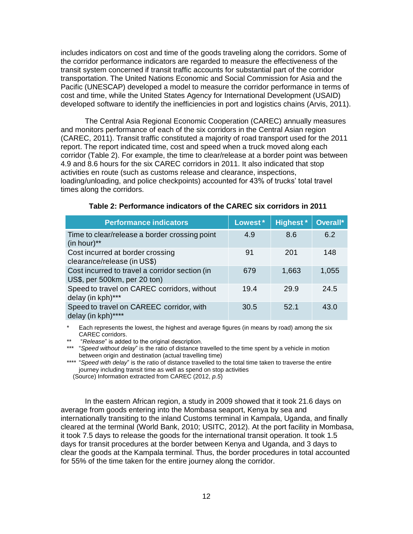includes indicators on cost and time of the goods traveling along the corridors. Some of the corridor performance indicators are regarded to measure the effectiveness of the transit system concerned if transit traffic accounts for substantial part of the corridor transportation. The United Nations Economic and Social Commission for Asia and the Pacific (UNESCAP) developed a model to measure the corridor performance in terms of cost and time, while the United States Agency for International Development (USAID) developed software to identify the inefficiencies in port and logistics chains (Arvis, 2011).

The Central Asia Regional Economic Cooperation (CAREC) annually measures and monitors performance of each of the six corridors in the Central Asian region (CAREC, 2011). Transit traffic constituted a majority of road transport used for the 2011 report. The report indicated time, cost and speed when a truck moved along each corridor (Table 2). For example, the time to clear/release at a border point was between 4.9 and 8.6 hours for the six CAREC corridors in 2011. It also indicated that stop activities en route (such as customs release and clearance, inspections, loading/unloading, and police checkpoints) accounted for 43% of trucks' total travel times along the corridors.

| <b>Performance indicators</b>                                                  | Lowest* | <b>Highest</b> * | Overall* |
|--------------------------------------------------------------------------------|---------|------------------|----------|
| Time to clear/release a border crossing point<br>$(in hour)**$                 | 4.9     | 8.6              | 6.2      |
| Cost incurred at border crossing<br>clearance/release (in US\$)                | 91      | 201              | 148      |
| Cost incurred to travel a corridor section (in<br>US\$, per 500km, per 20 ton) | 679     | 1,663            | 1,055    |
| Speed to travel on CAREC corridors, without<br>delay (in kph)***               | 19.4    | 29.9             | 24.5     |
| Speed to travel on CAREEC corridor, with<br>delay (in kph)****                 | 30.5    | 52.1             | 43.0     |

#### **Table 2: Performance indicators of the CAREC six corridors in 2011**

Each represents the lowest, the highest and average figures (in means by road) among the six CAREC corridors.

\*\* "*Release*" is added to the original description.

\*\*\* "*Speed without delay*" is the ratio of distance travelled to the time spent by a vehicle in motion between origin and destination (actual travelling time)

\*\*\*\* "*Speed with delay*" is the ratio of distance travelled to the total time taken to traverse the entire journey including transit time as well as spend on stop activities

(Source) Information extracted from CAREC (2012, *p.5*)

In the eastern African region, a study in 2009 showed that it took 21.6 days on average from goods entering into the Mombasa seaport, Kenya by sea and internationally transiting to the inland Customs terminal in Kampala, Uganda, and finally cleared at the terminal (World Bank, 2010; USITC, 2012). At the port facility in Mombasa, it took 7.5 days to release the goods for the international transit operation. It took 1.5 days for transit procedures at the border between Kenya and Uganda, and 3 days to clear the goods at the Kampala terminal. Thus, the border procedures in total accounted for 55% of the time taken for the entire journey along the corridor.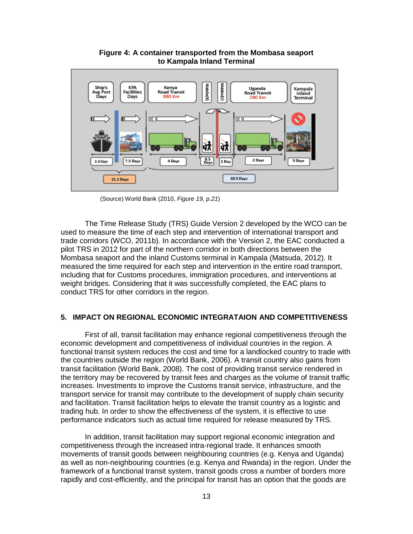

**Figure 4: A container transported from the Mombasa seaport to Kampala Inland Terminal**

(Source) World Bank (2010, *Figure 19, p.21*)

The Time Release Study (TRS) Guide Version 2 developed by the WCO can be used to measure the time of each step and intervention of international transport and trade corridors (WCO, 2011b). In accordance with the Version 2, the EAC conducted a pilot TRS in 2012 for part of the northern corridor in both directions between the Mombasa seaport and the inland Customs terminal in Kampala (Matsuda, 2012). It measured the time required for each step and intervention in the entire road transport, including that for Customs procedures, immigration procedures, and interventions at weight bridges. Considering that it was successfully completed, the EAC plans to conduct TRS for other corridors in the region.

#### **5. IMPACT ON REGIONAL ECONOMIC INTEGRATAION AND COMPETITIVENESS**

First of all, transit facilitation may enhance regional competitiveness through the economic development and competitiveness of individual countries in the region. A functional transit system reduces the cost and time for a landlocked country to trade with the countries outside the region (World Bank, 2006). A transit country also gains from transit facilitation (World Bank, 2008). The cost of providing transit service rendered in the territory may be recovered by transit fees and charges as the volume of transit traffic increases. Investments to improve the Customs transit service, infrastructure, and the transport service for transit may contribute to the development of supply chain security and facilitation. Transit facilitation helps to elevate the transit country as a logistic and trading hub. In order to show the effectiveness of the system, it is effective to use performance indicators such as actual time required for release measured by TRS.

In addition, transit facilitation may support regional economic integration and competitiveness through the increased intra-regional trade. It enhances smooth movements of transit goods between neighbouring countries (e.g. Kenya and Uganda) as well as non-neighbouring countries (e.g. Kenya and Rwanda) in the region. Under the framework of a functional transit system, transit goods cross a number of borders more rapidly and cost-efficiently, and the principal for transit has an option that the goods are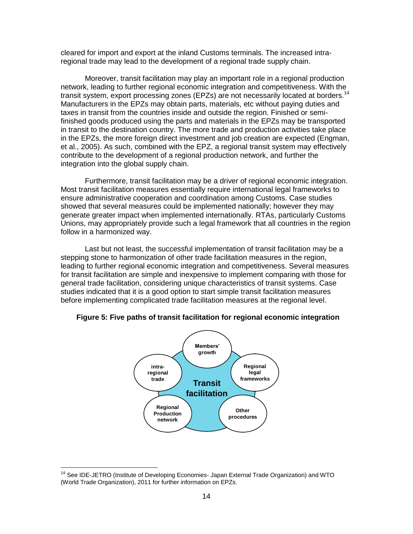cleared for import and export at the inland Customs terminals. The increased intraregional trade may lead to the development of a regional trade supply chain.

Moreover, transit facilitation may play an important role in a regional production network, leading to further regional economic integration and competitiveness. With the transit system, export processing zones (EPZs) are not necessarily located at borders.<sup>14</sup> Manufacturers in the EPZs may obtain parts, materials, etc without paying duties and taxes in transit from the countries inside and outside the region. Finished or semifinished goods produced using the parts and materials in the EPZs may be transported in transit to the destination country. The more trade and production activities take place in the EPZs, the more foreign direct investment and job creation are expected (Engman, et al., 2005). As such, combined with the EPZ, a regional transit system may effectively contribute to the development of a regional production network, and further the integration into the global supply chain.

Furthermore, transit facilitation may be a driver of regional economic integration. Most transit facilitation measures essentially require international legal frameworks to ensure administrative cooperation and coordination among Customs. Case studies showed that several measures could be implemented nationally; however they may generate greater impact when implemented internationally. RTAs, particularly Customs Unions, may appropriately provide such a legal framework that all countries in the region follow in a harmonized way.

Last but not least, the successful implementation of transit facilitation may be a stepping stone to harmonization of other trade facilitation measures in the region, leading to further regional economic integration and competitiveness. Several measures for transit facilitation are simple and inexpensive to implement comparing with those for general trade facilitation, considering unique characteristics of transit systems. Case studies indicated that it is a good option to start simple transit facilitation measures before implementing complicated trade facilitation measures at the regional level.



#### **Figure 5: Five paths of transit facilitation for regional economic integration**

<sup>&</sup>lt;sup>14</sup> See IDE-JETRO (Institute of Developing Economies- Japan External Trade Organization) and WTO (World Trade Organization), 2011 for further information on EPZs.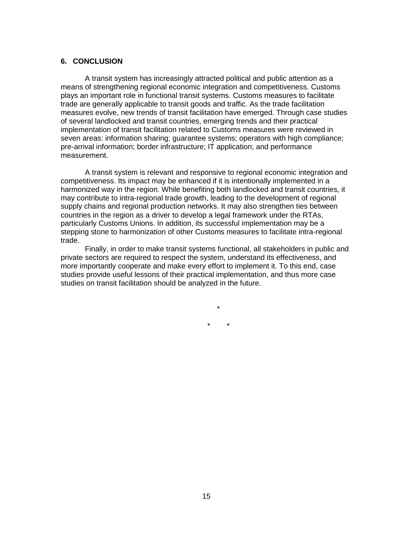#### **6. CONCLUSION**

A transit system has increasingly attracted political and public attention as a means of strengthening regional economic integration and competitiveness. Customs plays an important role in functional transit systems. Customs measures to facilitate trade are generally applicable to transit goods and traffic. As the trade facilitation measures evolve, new trends of transit facilitation have emerged. Through case studies of several landlocked and transit countries, emerging trends and their practical implementation of transit facilitation related to Customs measures were reviewed in seven areas: information sharing; guarantee systems; operators with high compliance; pre-arrival information; border infrastructure; IT application; and performance measurement.

A transit system is relevant and responsive to regional economic integration and competitiveness. Its impact may be enhanced if it is intentionally implemented in a harmonized way in the region. While benefiting both landlocked and transit countries, it may contribute to intra-regional trade growth, leading to the development of regional supply chains and regional production networks. It may also strengthen ties between countries in the region as a driver to develop a legal framework under the RTAs, particularly Customs Unions. In addition, its successful implementation may be a stepping stone to harmonization of other Customs measures to facilitate intra-regional trade.

Finally, in order to make transit systems functional, all stakeholders in public and private sectors are required to respect the system, understand its effectiveness, and more importantly cooperate and make every effort to implement it. To this end, case studies provide useful lessons of their practical implementation, and thus more case studies on transit facilitation should be analyzed in the future.

> \* \* \*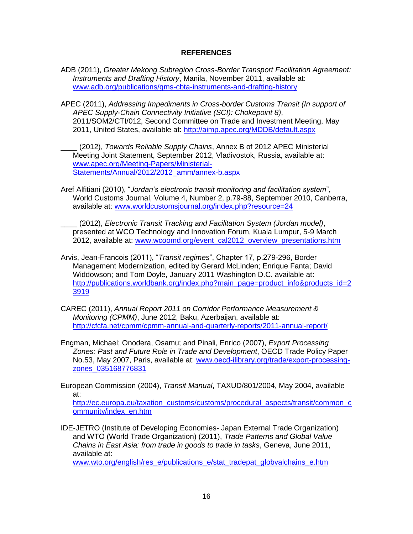# **REFERENCES**

- ADB (2011), *Greater Mekong Subregion Cross-Border Transport Facilitation Agreement: Instruments and Drafting History*, Manila, November 2011, available at: [www.adb.org/publications/gms-cbta-instruments-and-drafting-history](http://www.adb.org/publications/gms-cbta-instruments-and-drafting-history)
- APEC (2011), *Addressing Impediments in Cross-border Customs Transit (In support of APEC Supply-Chain Connectivity Initiative (SCI): Chokepoint 8)*, 2011/SOM2/CTI/012, Second Committee on Trade and Investment Meeting, May 2011, United States, available at:<http://aimp.apec.org/MDDB/default.aspx>
- \_\_\_\_ (2012), *Towards Reliable Supply Chains*, Annex B of 2012 APEC Ministerial Meeting Joint Statement, September 2012, Vladivostok, Russia, available at: [www.apec.org/Meeting-Papers/Ministerial-](http://www.apec.org/Meeting-Papers/Ministerial-Statements/Annual/2012/2012_amm/annex-b.aspx)[Statements/Annual/2012/2012\\_amm/annex-b.aspx](http://www.apec.org/Meeting-Papers/Ministerial-Statements/Annual/2012/2012_amm/annex-b.aspx)
- Aref Alfitiani (2010), "*Jordan's electronic transit monitoring and facilitation system*", World Customs Journal, Volume 4, Number 2, p.79-88, September 2010, Canberra, available at: [www.worldcustomsjournal.org/index.php?resource=24](http://www.worldcustomsjournal.org/index.php?resource=24)
- \_\_\_\_ (2012), *Electronic Transit Tracking and Facilitation System (Jordan model)*, presented at WCO Technology and Innovation Forum, Kuala Lumpur, 5-9 March 2012, available at: [www.wcoomd.org/event\\_cal2012\\_overview\\_presentations.htm](http://www.wcoomd.org/event_cal2012_overview_presentations.htm)
- Arvis, Jean-Francois (2011), "*Transit regimes*", Chapter 17, p.279-296, Border Management Modernization, edited by Gerard McLinden; Enrique Fanta; David Widdowson; and Tom Doyle, January 2011 Washington D.C. available at: [http://publications.worldbank.org/index.php?main\\_page=product\\_info&products\\_id=2](http://publications.worldbank.org/index.php?main_page=product_info&products_id=23919) [3919](http://publications.worldbank.org/index.php?main_page=product_info&products_id=23919)
- CAREC (2011), *Annual Report 2011 on Corridor Performance Measurement & Monitoring (CPMM)*, June 2012, Baku, Azerbaijan, available at: <http://cfcfa.net/cpmm/cpmm-annual-and-quarterly-reports/2011-annual-report/>
- Engman, Michael; Onodera, Osamu; and Pinali, Enrico (2007), *Export Processing Zones: Past and Future Role in Trade and Development*, OECD Trade Policy Paper No.53, May 2007, Paris, available at: [www.oecd-ilibrary.org/trade/export-processing](http://www.oecd-ilibrary.org/trade/export-processing-zones_035168776831)[zones\\_035168776831](http://www.oecd-ilibrary.org/trade/export-processing-zones_035168776831)

European Commission (2004), *Transit Manual*, TAXUD/801/2004, May 2004, available at:

[http://ec.europa.eu/taxation\\_customs/customs/procedural\\_aspects/transit/common\\_c](http://ec.europa.eu/taxation_customs/customs/procedural_aspects/transit/common_community/index_en.htm) [ommunity/index\\_en.htm](http://ec.europa.eu/taxation_customs/customs/procedural_aspects/transit/common_community/index_en.htm)

IDE-JETRO (Institute of Developing Economies- Japan External Trade Organization) and WTO (World Trade Organization) (2011), *Trade Patterns and Global Value Chains in East Asia: from trade in goods to trade in tasks*, Geneva, June 2011, available at:

[www.wto.org/english/res\\_e/publications\\_e/stat\\_tradepat\\_globvalchains\\_e.htm](http://www.wto.org/english/res_e/publications_e/stat_tradepat_globvalchains_e.htm)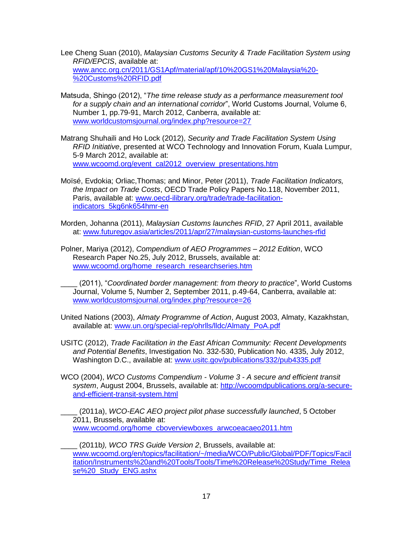- Lee Cheng Suan (2010), *Malaysian Customs Security & Trade Facilitation System using RFID/EPCIS*, available at: [www.ancc.org.cn/2011/GS1Apf/material/apf/10%20GS1%20Malaysia%20-](http://www.ancc.org.cn/2011/GS1Apf/material/apf/10%20GS1%20Malaysia%20-%20Customs%20RFID.pdf) [%20Customs%20RFID.pdf](http://www.ancc.org.cn/2011/GS1Apf/material/apf/10%20GS1%20Malaysia%20-%20Customs%20RFID.pdf)
- Matsuda, Shingo (2012), "*The time release study as a performance measurement tool for a supply chain and an international corridor*", World Customs Journal, Volume 6, Number 1, pp.79-91, March 2012, Canberra, available at: [www.worldcustomsjournal.org/index.php?resource=27](http://www.worldcustomsjournal.org/index.php?resource=27)
- Matrang Shuhaili and Ho Lock (2012), *Security and Trade Facilitation System Using RFID Initiative*, presented at WCO Technology and Innovation Forum, Kuala Lumpur, 5-9 March 2012, available at: [www.wcoomd.org/event\\_cal2012\\_overview\\_presentations.htm](http://www.wcoomd.org/event_cal2012_overview_presentations.htm)
- Moïsé, Evdokia; Orliac,Thomas; and Minor, Peter (2011), *Trade Facilitation Indicators, the Impact on Trade Costs*, OECD Trade Policy Papers No.118, November 2011, Paris, available at: [www.oecd-ilibrary.org/trade/trade-facilitation](http://www.oecd-ilibrary.org/trade/trade-facilitation-indicators_5kg6nk654hmr-en)[indicators\\_5kg6nk654hmr-en](http://www.oecd-ilibrary.org/trade/trade-facilitation-indicators_5kg6nk654hmr-en)
- Morden, Johanna (2011), *Malaysian Customs launches RFID*, 27 April 2011, available at: [www.futuregov.asia/articles/2011/apr/27/malaysian-customs-launches-rfid](http://www.futuregov.asia/articles/2011/apr/27/malaysian-customs-launches-rfid)
- Polner, Mariya (2012), *Compendium of AEO Programmes – 2012 Edition*, WCO Research Paper No.25, July 2012, Brussels, available at: [www.wcoomd.org/home\\_research\\_researchseries.htm](http://www.wcoomd.org/home_research_researchseries.htm)
	- \_\_\_\_ (2011), "*Coordinated border management: from theory to practice*", World Customs Journal, Volume 5, Number 2, September 2011, p.49-64, Canberra, available at: [www.worldcustomsjournal.org/index.php?resource=26](http://www.worldcustomsjournal.org/index.php?resource=26)
- United Nations (2003), *Almaty Programme of Action*, August 2003, Almaty, Kazakhstan, available at: [www.un.org/special-rep/ohrlls/lldc/Almaty\\_PoA.pdf](http://www.un.org/special-rep/ohrlls/lldc/Almaty_PoA.pdf)
- USITC (2012), *Trade Facilitation in the East African Community: Recent Developments and Potential Benefits*, Investigation No. 332-530, Publication No. 4335, July 2012, Washington D.C., available at: [www.usitc.gov/publications/332/pub4335.pdf](http://www.usitc.gov/publications/332/pub4335.pdf)
- WCO (2004), *WCO Customs Compendium - Volume 3 - A secure and efficient transit system*, August 2004, Brussels, available at: [http://wcoomdpublications.org/a-secure](http://wcoomdpublications.org/a-secure-and-efficient-transit-system.html)[and-efficient-transit-system.html](http://wcoomdpublications.org/a-secure-and-efficient-transit-system.html)
- \_\_\_\_ (2011a), *WCO-EAC AEO project pilot phase successfully launched*, 5 October 2011, Brussels, available at: [www.wcoomd.org/home\\_cboverviewboxes\\_arwcoeacaeo2011.htm](http://www.wcoomd.org/home_cboverviewboxes_arwcoeacaeo2011.htm)
- \_\_\_\_ (2011b*), WCO TRS Guide Version 2*, Brussels, available at: [www.wcoomd.org/en/topics/facilitation/~/media/WCO/Public/Global/PDF/Topics/Facil](http://www.wcoomd.org/en/topics/facilitation/~/media/WCO/Public/Global/PDF/Topics/Facilitation/Instruments%20and%20Tools/Tools/Time%20Release%20Study/Time_Release%20_Study_ENG.ashx) [itation/Instruments%20and%20Tools/Tools/Time%20Release%20Study/Time\\_Relea](http://www.wcoomd.org/en/topics/facilitation/~/media/WCO/Public/Global/PDF/Topics/Facilitation/Instruments%20and%20Tools/Tools/Time%20Release%20Study/Time_Release%20_Study_ENG.ashx) [se%20\\_Study\\_ENG.ashx](http://www.wcoomd.org/en/topics/facilitation/~/media/WCO/Public/Global/PDF/Topics/Facilitation/Instruments%20and%20Tools/Tools/Time%20Release%20Study/Time_Release%20_Study_ENG.ashx)